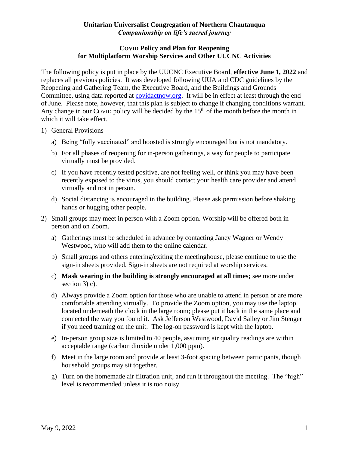## **Unitarian Universalist Congregation of Northern Chautauqua** *Companionship on life's sacred journey*

## **COVID Policy and Plan for Reopening for Multiplatform Worship Services and Other UUCNC Activities**

The following policy is put in place by the UUCNC Executive Board, **effective June 1, 2022** and replaces all previous policies. It was developed following UUA and CDC guidelines by the Reopening and Gathering Team, the Executive Board, and the Buildings and Grounds Committee, using data reported at [covidactnow.org.](covidactnow.org) It will be in effect at least through the end of June. Please note, however, that this plan is subject to change if changing conditions warrant. Any change in our COVID policy will be decided by the  $15<sup>th</sup>$  of the month before the month in which it will take effect.

- 1) General Provisions
	- a) Being "fully vaccinated" and boosted is strongly encouraged but is not mandatory.
	- b) For all phases of reopening for in-person gatherings, a way for people to participate virtually must be provided.
	- c) If you have recently tested positive, are not feeling well, or think you may have been recently exposed to the virus, you should contact your health care provider and attend virtually and not in person.
	- d) Social distancing is encouraged in the building. Please ask permission before shaking hands or hugging other people.
- 2) Small groups may meet in person with a Zoom option. Worship will be offered both in person and on Zoom.
	- a) Gatherings must be scheduled in advance by contacting Janey Wagner or Wendy Westwood, who will add them to the online calendar.
	- b) Small groups and others entering/exiting the meetinghouse, please continue to use the sign-in sheets provided. Sign-in sheets are not required at worship services.
	- c) **Mask wearing in the building is strongly encouraged at all times;** see more under section 3) c).
	- d) Always provide a Zoom option for those who are unable to attend in person or are more comfortable attending virtually. To provide the Zoom option, you may use the laptop located underneath the clock in the large room; please put it back in the same place and connected the way you found it. Ask Jefferson Westwood, David Salley or Jim Stenger if you need training on the unit. The log-on password is kept with the laptop.
	- e) In-person group size is limited to 40 people, assuming air quality readings are within acceptable range (carbon dioxide under 1,000 ppm).
	- f) Meet in the large room and provide at least 3-foot spacing between participants, though household groups may sit together.
	- g) Turn on the homemade air filtration unit, and run it throughout the meeting. The "high" level is recommended unless it is too noisy.